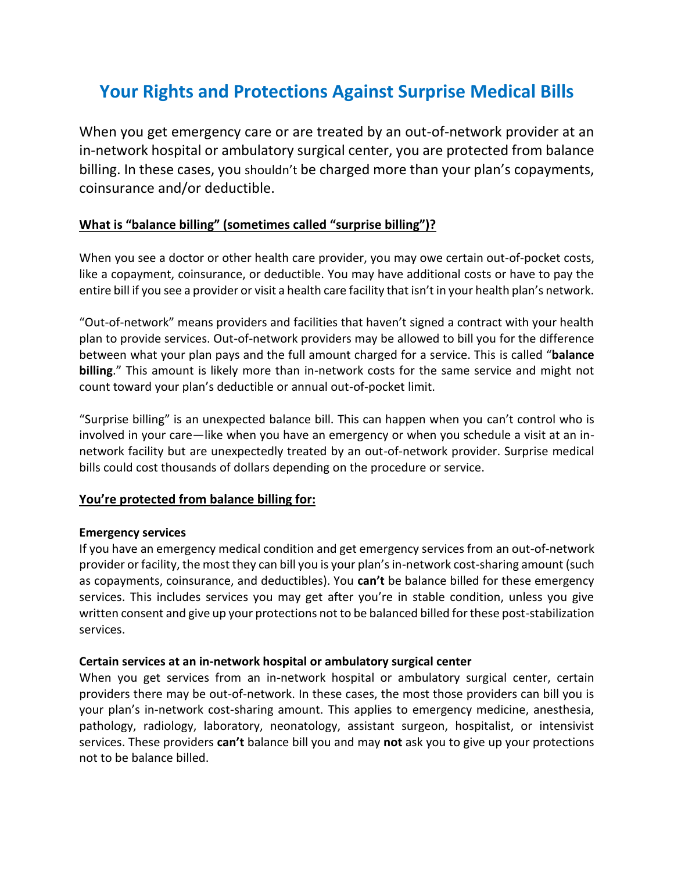# **Your Rights and Protections Against Surprise Medical Bills**

When you get emergency care or are treated by an out-of-network provider at an in-network hospital or ambulatory surgical center, you are protected from balance billing. In these cases, you shouldn't be charged more than your plan's copayments, coinsurance and/or deductible.

## **What is "balance billing" (sometimes called "surprise billing")?**

When you see a doctor or other health care provider, you may owe certain out-of-pocket costs, like a copayment, coinsurance, or deductible. You may have additional costs or have to pay the entire bill if you see a provider or visit a health care facility that isn't in your health plan's network.

"Out-of-network" means providers and facilities that haven't signed a contract with your health plan to provide services. Out-of-network providers may be allowed to bill you for the difference between what your plan pays and the full amount charged for a service. This is called "**balance billing**." This amount is likely more than in-network costs for the same service and might not count toward your plan's deductible or annual out-of-pocket limit.

"Surprise billing" is an unexpected balance bill. This can happen when you can't control who is involved in your care—like when you have an emergency or when you schedule a visit at an innetwork facility but are unexpectedly treated by an out-of-network provider. Surprise medical bills could cost thousands of dollars depending on the procedure or service.

#### **You're protected from balance billing for:**

#### **Emergency services**

If you have an emergency medical condition and get emergency services from an out-of-network provider or facility, the most they can bill you is your plan's in-network cost-sharing amount (such as copayments, coinsurance, and deductibles). You **can't** be balance billed for these emergency services. This includes services you may get after you're in stable condition, unless you give written consent and give up your protections not to be balanced billed for these post-stabilization services.

#### **Certain services at an in-network hospital or ambulatory surgical center**

When you get services from an in-network hospital or ambulatory surgical center, certain providers there may be out-of-network. In these cases, the most those providers can bill you is your plan's in-network cost-sharing amount. This applies to emergency medicine, anesthesia, pathology, radiology, laboratory, neonatology, assistant surgeon, hospitalist, or intensivist services. These providers **can't** balance bill you and may **not** ask you to give up your protections not to be balance billed.